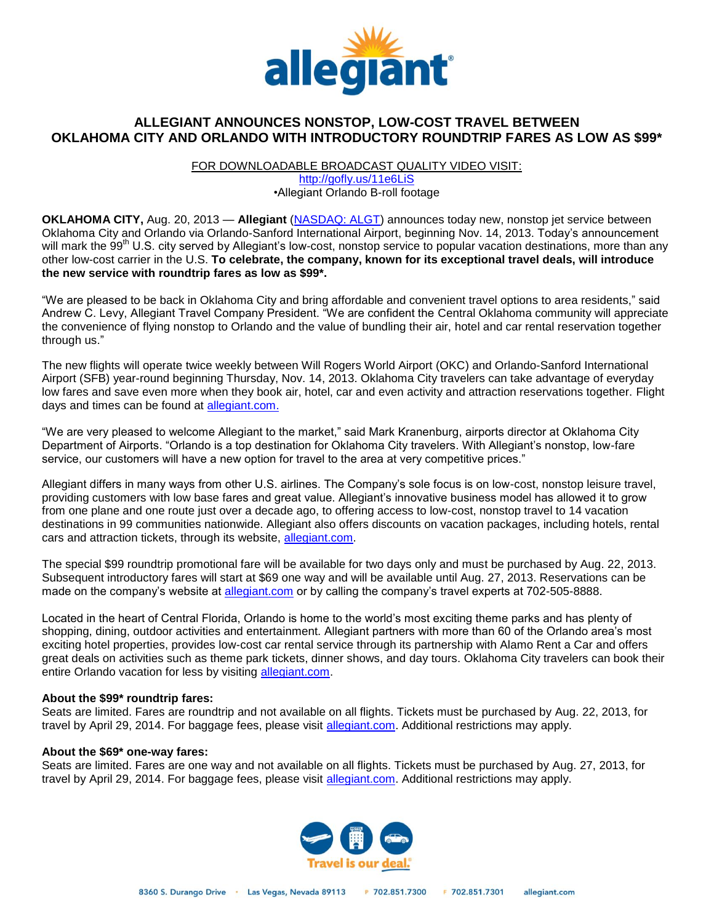

# **ALLEGIANT ANNOUNCES NONSTOP, LOW-COST TRAVEL BETWEEN OKLAHOMA CITY AND ORLANDO WITH INTRODUCTORY ROUNDTRIP FARES AS LOW AS \$99\***

FOR DOWNLOADABLE BROADCAST QUALITY VIDEO VISIT:

<http://gofly.us/11e6LiS> •Allegiant Orlando B-roll footage

**OKLAHOMA CITY,** Aug. 20, 2013 — **Allegiant** [\(NASDAQ: ALGT\)](http://ir.allegiantair.com/index.cfm) announces today new, nonstop jet service between Oklahoma City and Orlando via Orlando-Sanford International Airport, beginning Nov. 14, 2013. Today's announcement will mark the 99<sup>th</sup> U.S. city served by Allegiant's low-cost, nonstop service to popular vacation destinations, more than any other low-cost carrier in the U.S. **To celebrate, the company, known for its exceptional travel deals, will introduce the new service with roundtrip fares as low as \$99\*.**

"We are pleased to be back in Oklahoma City and bring affordable and convenient travel options to area residents," said Andrew C. Levy, Allegiant Travel Company President. "We are confident the Central Oklahoma community will appreciate the convenience of flying nonstop to Orlando and the value of bundling their air, hotel and car rental reservation together through us."

The new flights will operate twice weekly between Will Rogers World Airport (OKC) and Orlando-Sanford International Airport (SFB) year-round beginning Thursday, Nov. 14, 2013. Oklahoma City travelers can take advantage of everyday low fares and save even more when they book air, hotel, car and even activity and attraction reservations together. Flight days and times can be found at [allegiant.com.](http://www.allegiantair.com/?dep=OKC&ret=SFB)

"We are very pleased to welcome Allegiant to the market," said Mark Kranenburg, airports director at Oklahoma City Department of Airports. "Orlando is a top destination for Oklahoma City travelers. With Allegiant's nonstop, low-fare service, our customers will have a new option for travel to the area at very competitive prices."

Allegiant differs in many ways from other U.S. airlines. The Company's sole focus is on low-cost, nonstop leisure travel, providing customers with low base fares and great value. Allegiant's innovative business model has allowed it to grow from one plane and one route just over a decade ago, to offering access to low-cost, nonstop travel to 14 vacation destinations in 99 communities nationwide. Allegiant also offers discounts on vacation packages, including hotels, rental cars and attraction tickets, through its website, [allegiant.com.](http://ww.allegiant.com/)

The special \$99 roundtrip promotional fare will be available for two days only and must be purchased by Aug. 22, 2013. Subsequent introductory fares will start at \$69 one way and will be available until Aug. 27, 2013. Reservations can be made on the company's website at [allegiant.com](http://www.allegiantair.com/?dep=OKC&ret=SFB) or by calling the company's travel experts at 702-505-8888.

Located in the heart of Central Florida, Orlando is home to the world's most exciting theme parks and has plenty of shopping, dining, outdoor activities and entertainment. Allegiant partners with more than 60 of the Orlando area's most exciting hotel properties, provides low-cost car rental service through its partnership with Alamo Rent a Car and offers great deals on activities such as theme park tickets, dinner shows, and day tours. Oklahoma City travelers can book their entire Orlando vacation for less by visiting [allegiant.com.](http://www.allegiantair.com/?dep=OKC&ret=SFB)

#### **About the \$99\* roundtrip fares:**

Seats are limited. Fares are roundtrip and not available on all flights. Tickets must be purchased by Aug. 22, 2013, for travel by April 29, 2014. For baggage fees, please visit [allegiant.com.](http://www.allegiantair.com/aaFeesForOurServices.php#baggage) Additional restrictions may apply.

#### **About the \$69\* one-way fares:**

Seats are limited. Fares are one way and not available on all flights. Tickets must be purchased by Aug. 27, 2013, for travel by April 29, 2014. For baggage fees, please visit [allegiant.com.](http://www.allegiantair.com/aaFeesForOurServices.php#baggage) Additional restrictions may apply.